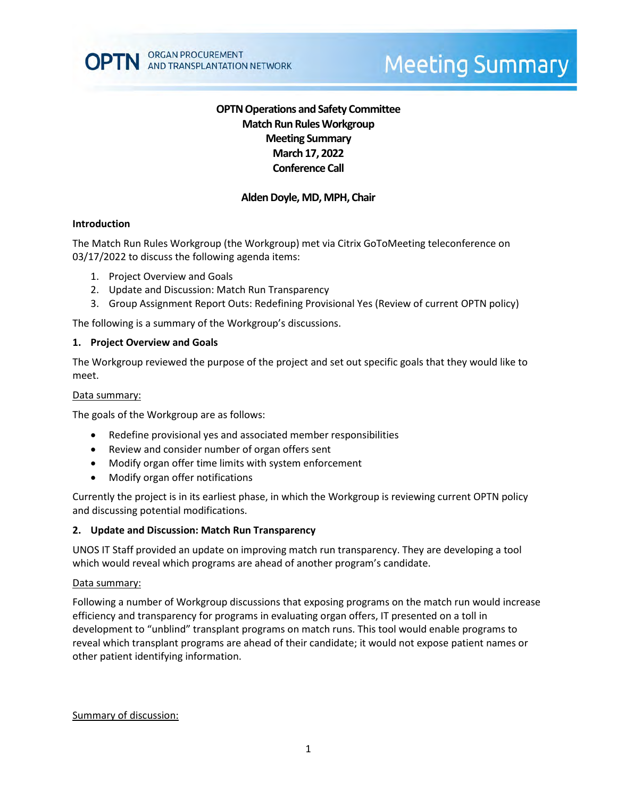# **OPTN Operations and Safety Committee Match Run Rules Workgroup Meeting Summary March 17, 2022 Conference Call**

# **Alden Doyle, MD, MPH, Chair**

### **Introduction**

The Match Run Rules Workgroup (the Workgroup) met via Citrix GoToMeeting teleconference on 03/17/2022 to discuss the following agenda items:

- 1. Project Overview and Goals
- 2. Update and Discussion: Match Run Transparency
- 3. Group Assignment Report Outs: Redefining Provisional Yes (Review of current OPTN policy)

The following is a summary of the Workgroup's discussions.

#### **1. Project Overview and Goals**

The Workgroup reviewed the purpose of the project and set out specific goals that they would like to meet.

#### Data summary:

The goals of the Workgroup are as follows:

- Redefine provisional yes and associated member responsibilities
- Review and consider number of organ offers sent
- Modify organ offer time limits with system enforcement
- Modify organ offer notifications

Currently the project is in its earliest phase, in which the Workgroup is reviewing current OPTN policy and discussing potential modifications.

#### **2. Update and Discussion: Match Run Transparency**

UNOS IT Staff provided an update on improving match run transparency. They are developing a tool which would reveal which programs are ahead of another program's candidate.

#### Data summary:

Following a number of Workgroup discussions that exposing programs on the match run would increase efficiency and transparency for programs in evaluating organ offers, IT presented on a toll in development to "unblind" transplant programs on match runs. This tool would enable programs to reveal which transplant programs are ahead of their candidate; it would not expose patient names or other patient identifying information.

Summary of discussion: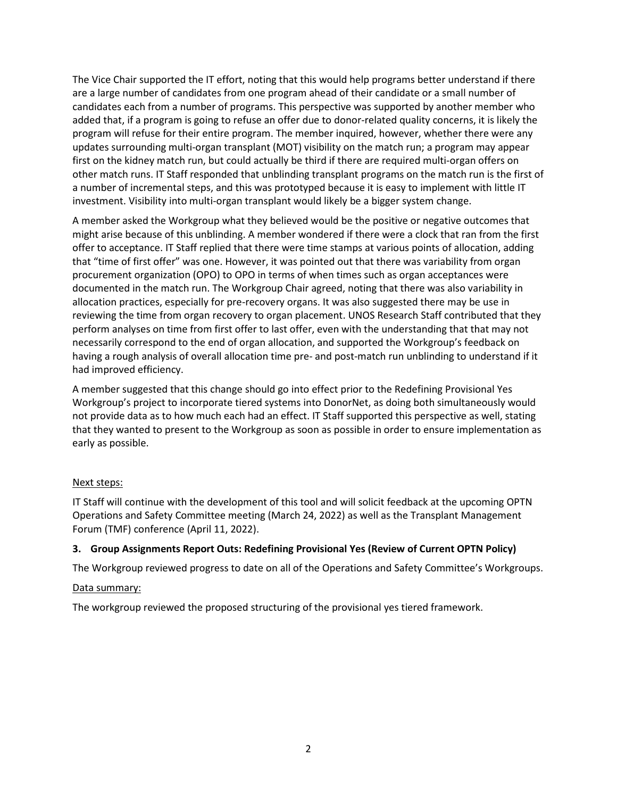The Vice Chair supported the IT effort, noting that this would help programs better understand if there are a large number of candidates from one program ahead of their candidate or a small number of candidates each from a number of programs. This perspective was supported by another member who added that, if a program is going to refuse an offer due to donor-related quality concerns, it is likely the program will refuse for their entire program. The member inquired, however, whether there were any updates surrounding multi-organ transplant (MOT) visibility on the match run; a program may appear first on the kidney match run, but could actually be third if there are required multi-organ offers on other match runs. IT Staff responded that unblinding transplant programs on the match run is the first of a number of incremental steps, and this was prototyped because it is easy to implement with little IT investment. Visibility into multi-organ transplant would likely be a bigger system change.

A member asked the Workgroup what they believed would be the positive or negative outcomes that might arise because of this unblinding. A member wondered if there were a clock that ran from the first offer to acceptance. IT Staff replied that there were time stamps at various points of allocation, adding that "time of first offer" was one. However, it was pointed out that there was variability from organ procurement organization (OPO) to OPO in terms of when times such as organ acceptances were documented in the match run. The Workgroup Chair agreed, noting that there was also variability in allocation practices, especially for pre-recovery organs. It was also suggested there may be use in reviewing the time from organ recovery to organ placement. UNOS Research Staff contributed that they perform analyses on time from first offer to last offer, even with the understanding that that may not necessarily correspond to the end of organ allocation, and supported the Workgroup's feedback on having a rough analysis of overall allocation time pre- and post-match run unblinding to understand if it had improved efficiency.

A member suggested that this change should go into effect prior to the Redefining Provisional Yes Workgroup's project to incorporate tiered systems into DonorNet, as doing both simultaneously would not provide data as to how much each had an effect. IT Staff supported this perspective as well, stating that they wanted to present to the Workgroup as soon as possible in order to ensure implementation as early as possible.

# Next steps:

IT Staff will continue with the development of this tool and will solicit feedback at the upcoming OPTN Operations and Safety Committee meeting (March 24, 2022) as well as the Transplant Management Forum (TMF) conference (April 11, 2022).

# **3. Group Assignments Report Outs: Redefining Provisional Yes (Review of Current OPTN Policy)**

The Workgroup reviewed progress to date on all of the Operations and Safety Committee's Workgroups.

## Data summary:

The workgroup reviewed the proposed structuring of the provisional yes tiered framework.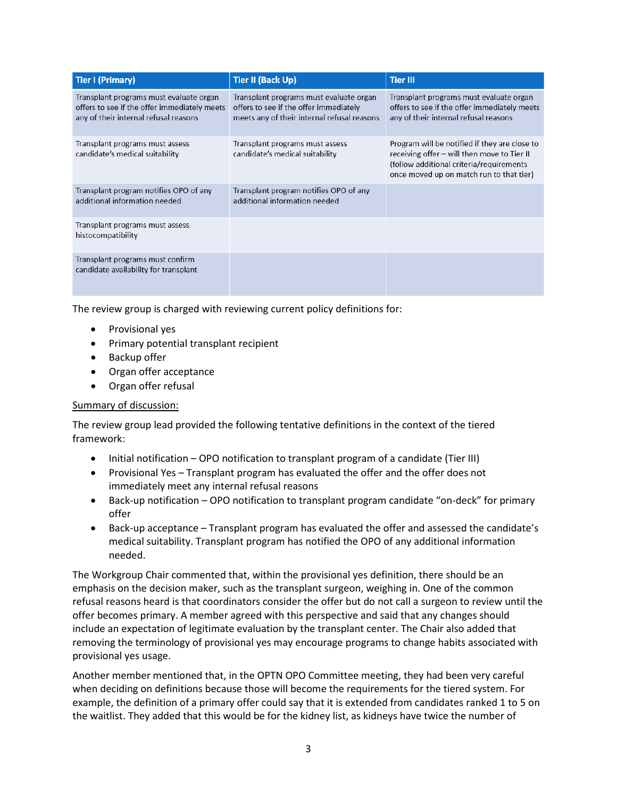| <b>Tier I (Primary)</b>                                                                                                          | <b>Tier II (Back Up)</b>                                                                                                         | <b>Tier III</b>                                                                                                                                                                       |
|----------------------------------------------------------------------------------------------------------------------------------|----------------------------------------------------------------------------------------------------------------------------------|---------------------------------------------------------------------------------------------------------------------------------------------------------------------------------------|
| Transplant programs must evaluate organ<br>offers to see if the offer immediately meets<br>any of their internal refusal reasons | Transplant programs must evaluate organ<br>offers to see if the offer immediately<br>meets any of their internal refusal reasons | Transplant programs must evaluate organ<br>offers to see if the offer immediately meets<br>any of their internal refusal reasons                                                      |
| Transplant programs must assess<br>candidate's medical suitability                                                               | Transplant programs must assess<br>candidate's medical suitability                                                               | Program will be notified if they are close to<br>receiving offer – will then move to Tier II<br>(follow additional criteria/requirements)<br>once moved up on match run to that tier) |
| Transplant program notifies OPO of any<br>additional information needed                                                          | Transplant program notifies OPO of any<br>additional information needed                                                          |                                                                                                                                                                                       |
| Transplant programs must assess<br>histocompatibility                                                                            |                                                                                                                                  |                                                                                                                                                                                       |
| Transplant programs must confirm<br>candidate availability for transplant                                                        |                                                                                                                                  |                                                                                                                                                                                       |

The review group is charged with reviewing current policy definitions for:

- Provisional yes
- Primary potential transplant recipient
- Backup offer
- Organ offer acceptance
- Organ offer refusal

## Summary of discussion:

The review group lead provided the following tentative definitions in the context of the tiered framework:

- Initial notification OPO notification to transplant program of a candidate (Tier III)
- Provisional Yes Transplant program has evaluated the offer and the offer does not immediately meet any internal refusal reasons
- Back-up notification OPO notification to transplant program candidate "on-deck" for primary offer
- Back-up acceptance Transplant program has evaluated the offer and assessed the candidate's medical suitability. Transplant program has notified the OPO of any additional information needed.

The Workgroup Chair commented that, within the provisional yes definition, there should be an emphasis on the decision maker, such as the transplant surgeon, weighing in. One of the common refusal reasons heard is that coordinators consider the offer but do not call a surgeon to review until the offer becomes primary. A member agreed with this perspective and said that any changes should include an expectation of legitimate evaluation by the transplant center. The Chair also added that removing the terminology of provisional yes may encourage programs to change habits associated with provisional yes usage.

Another member mentioned that, in the OPTN OPO Committee meeting, they had been very careful when deciding on definitions because those will become the requirements for the tiered system. For example, the definition of a primary offer could say that it is extended from candidates ranked 1 to 5 on the waitlist. They added that this would be for the kidney list, as kidneys have twice the number of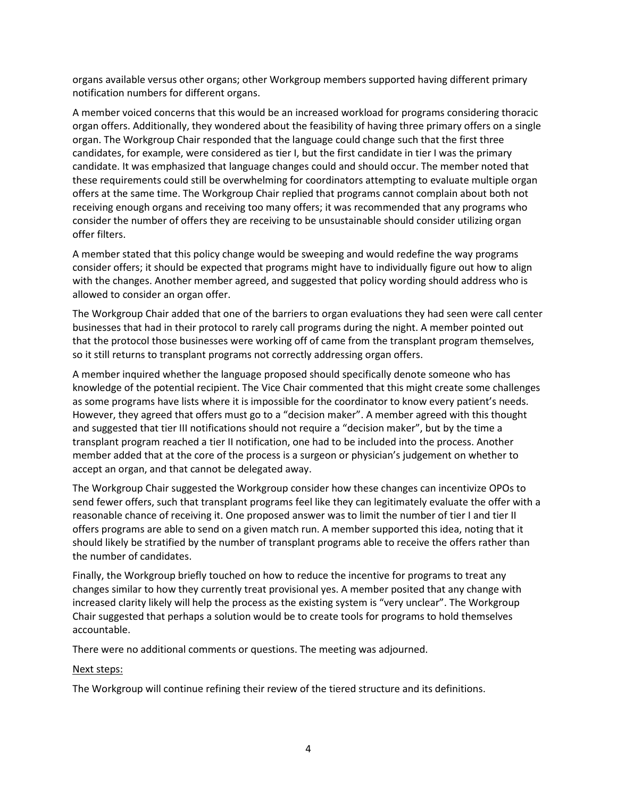organs available versus other organs; other Workgroup members supported having different primary notification numbers for different organs.

A member voiced concerns that this would be an increased workload for programs considering thoracic organ offers. Additionally, they wondered about the feasibility of having three primary offers on a single organ. The Workgroup Chair responded that the language could change such that the first three candidates, for example, were considered as tier I, but the first candidate in tier I was the primary candidate. It was emphasized that language changes could and should occur. The member noted that these requirements could still be overwhelming for coordinators attempting to evaluate multiple organ offers at the same time. The Workgroup Chair replied that programs cannot complain about both not receiving enough organs and receiving too many offers; it was recommended that any programs who consider the number of offers they are receiving to be unsustainable should consider utilizing organ offer filters.

A member stated that this policy change would be sweeping and would redefine the way programs consider offers; it should be expected that programs might have to individually figure out how to align with the changes. Another member agreed, and suggested that policy wording should address who is allowed to consider an organ offer.

The Workgroup Chair added that one of the barriers to organ evaluations they had seen were call center businesses that had in their protocol to rarely call programs during the night. A member pointed out that the protocol those businesses were working off of came from the transplant program themselves, so it still returns to transplant programs not correctly addressing organ offers.

A member inquired whether the language proposed should specifically denote someone who has knowledge of the potential recipient. The Vice Chair commented that this might create some challenges as some programs have lists where it is impossible for the coordinator to know every patient's needs. However, they agreed that offers must go to a "decision maker". A member agreed with this thought and suggested that tier III notifications should not require a "decision maker", but by the time a transplant program reached a tier II notification, one had to be included into the process. Another member added that at the core of the process is a surgeon or physician's judgement on whether to accept an organ, and that cannot be delegated away.

The Workgroup Chair suggested the Workgroup consider how these changes can incentivize OPOs to send fewer offers, such that transplant programs feel like they can legitimately evaluate the offer with a reasonable chance of receiving it. One proposed answer was to limit the number of tier I and tier II offers programs are able to send on a given match run. A member supported this idea, noting that it should likely be stratified by the number of transplant programs able to receive the offers rather than the number of candidates.

Finally, the Workgroup briefly touched on how to reduce the incentive for programs to treat any changes similar to how they currently treat provisional yes. A member posited that any change with increased clarity likely will help the process as the existing system is "very unclear". The Workgroup Chair suggested that perhaps a solution would be to create tools for programs to hold themselves accountable.

There were no additional comments or questions. The meeting was adjourned.

## Next steps:

The Workgroup will continue refining their review of the tiered structure and its definitions.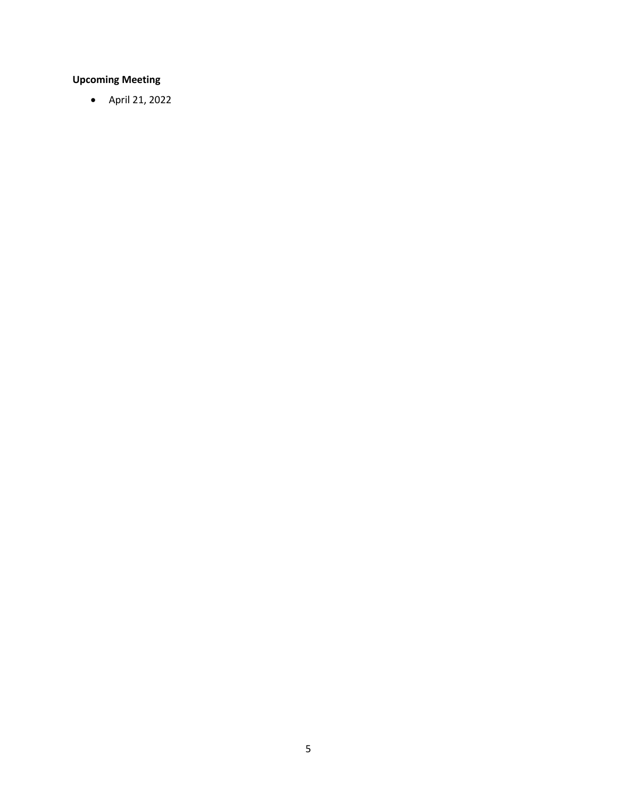# **Upcoming Meeting**

• April 21, 2022